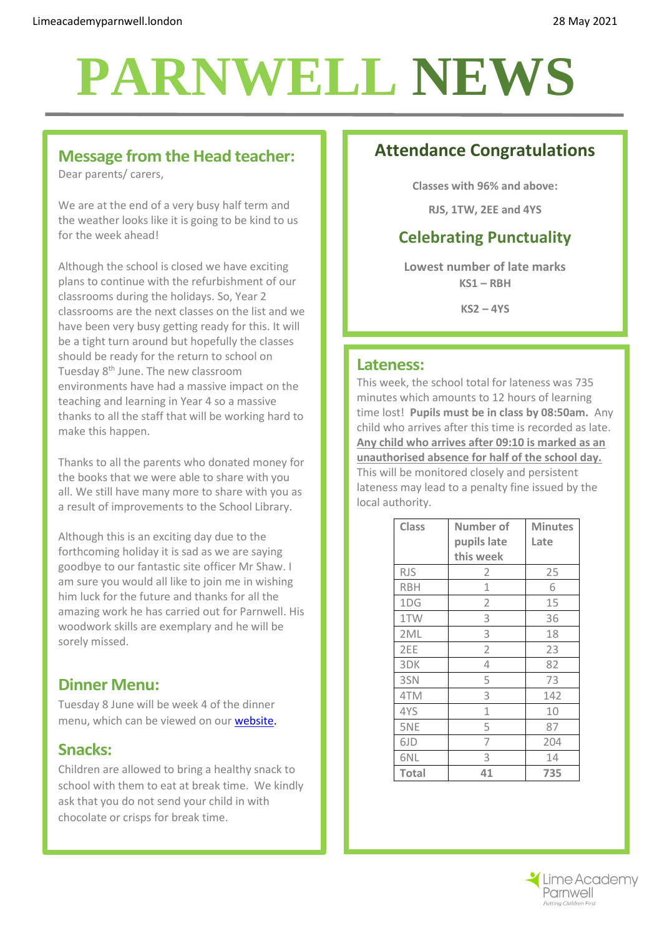## **PARNWELL NEWS**

#### **Message from the Head teacher:**

Dear parents/ carers,

We are at the end of a very busy half term and the weather looks like it is going to be kind to us for the week ahead!

Although the school is closed we have exciting plans to continue with the refurbishment of our classrooms during the holidays. So, Year 2 classrooms are the next classes on the list and we have been very busy getting ready for this. It will be a tight turn around but hopefully the classes should be ready for the return to school on Tuesday 8<sup>th</sup> June. The new classroom environments have had a massive impact on the teaching and learning in Year 4 so a massive thanks to all the staff that will be working hard to make this happen.

Thanks to all the parents who donated money for the books that we were able to share with you all. We still have many more to share with you as a result of improvements to the School Library.

Although this is an exciting day due to the forthcoming holiday it is sad as we are saying goodbye to our fantastic site officer Mr Shaw. I am sure you would all like to join me in wishing him luck for the future and thanks for all the amazing work he has carried out for Parnwell. His woodwork skills are exemplary and he will be sorely missed.

### **Dinner Menu:**

Tuesday 8 June will be week 4 of the dinner menu, which can be viewed on our [website.](http://limeacademyparnwell.org/media/3932/dinner-menu-2020-09-18.pdf)

#### **Snacks:**

Children are allowed to bring a healthy snack to school with them to eat at break time. We kindly ask that you do not send your child in with chocolate or crisps for break time.

## **Attendance Congratulations**

**Classes with 96% and above:**

**RJS, 1TW, 2EE and 4YS**

## **Celebrating Punctuality**

**Lowest number of late marks KS1 – RBH**

**KS2 – 4YS**

#### **Lateness:**

This week, the school total for lateness was 735 minutes which amounts to 12 hours of learning time lost! **Pupils must be in class by 08:50am.** Any child who arrives after this time is recorded as late. **Any child who arrives after 09:10 is marked as an unauthorised absence for half of the school day.** This will be monitored closely and persistent lateness may lead to a penalty fine issued by the local authority.

| <b>Class</b> | Number of<br>pupils late | <b>Minutes</b><br>Late |
|--------------|--------------------------|------------------------|
|              | this week                |                        |
| <b>RJS</b>   | 2                        | 25                     |
| <b>RBH</b>   | 1                        | 6                      |
| 1DG          | $\overline{2}$           | 15                     |
| 1TW          | 3                        | 36                     |
| 2ML          | 3                        | 18                     |
| 2EE          | $\overline{2}$           | 23                     |
| 3DK          | 4                        | 82                     |
| 3SN          | 5                        | 73                     |
| 4TM          | 3                        | 142                    |
| 4YS          | 1                        | 10                     |
| 5NE          | 5                        | 87                     |
| 6JD          | 7                        | 204                    |
| 6NL          | 3                        | 14                     |
| <b>Total</b> | 41                       | 735                    |

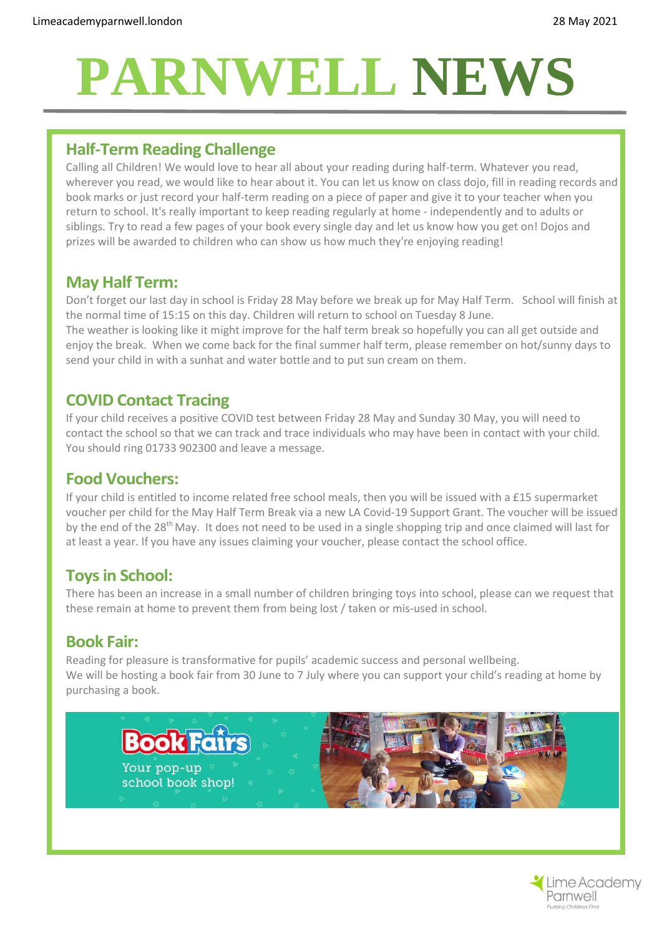# **PARNWELL NEWS**

#### **Half-Term Reading Challenge**

Calling all Children! We would love to hear all about your reading during half-term. Whatever you read, wherever you read, we would like to hear about it. You can let us know on class dojo, fill in reading records and book marks or just record your half-term reading on a piece of paper and give it to your teacher when you return to school. It's really important to keep reading regularly at home - independently and to adults or siblings. Try to read a few pages of your book every single day and let us know how you get on! Dojos and prizes will be awarded to children who can show us how much they're enjoying reading!

#### **May Half Term:**

Don't forget our last day in school is Friday 28 May before we break up for May Half Term. School will finish at the normal time of 15:15 on this day. Children will return to school on Tuesday 8 June.

The weather is looking like it might improve for the half term break so hopefully you can all get outside and enjoy the break. When we come back for the final summer half term, please remember on hot/sunny days to send your child in with a sunhat and water bottle and to put sun cream on them.

## **COVID Contact Tracing**

If your child receives a positive COVID test between Friday 28 May and Sunday 30 May, you will need to contact the school so that we can track and trace individuals who may have been in contact with your child. You should ring 01733 902300 and leave a message.

#### **Food Vouchers:**

If your child is entitled to income related free school meals, then you will be issued with a £15 supermarket voucher per child for the May Half Term Break via a new LA Covid-19 Support Grant. The voucher will be issued by the end of the 28<sup>th</sup> May. It does not need to be used in a single shopping trip and once claimed will last for at least a year. If you have any issues claiming your voucher, please contact the school office.

### **Toys in School:**

There has been an increase in a small number of children bringing toys into school, please can we request that these remain at home to prevent them from being lost / taken or mis-used in school.

### **Book Fair:**

Reading for pleasure is transformative for pupils' academic success and personal wellbeing. We will be hosting a book fair from 30 June to 7 July where you can support your child's reading at home by purchasing a book.